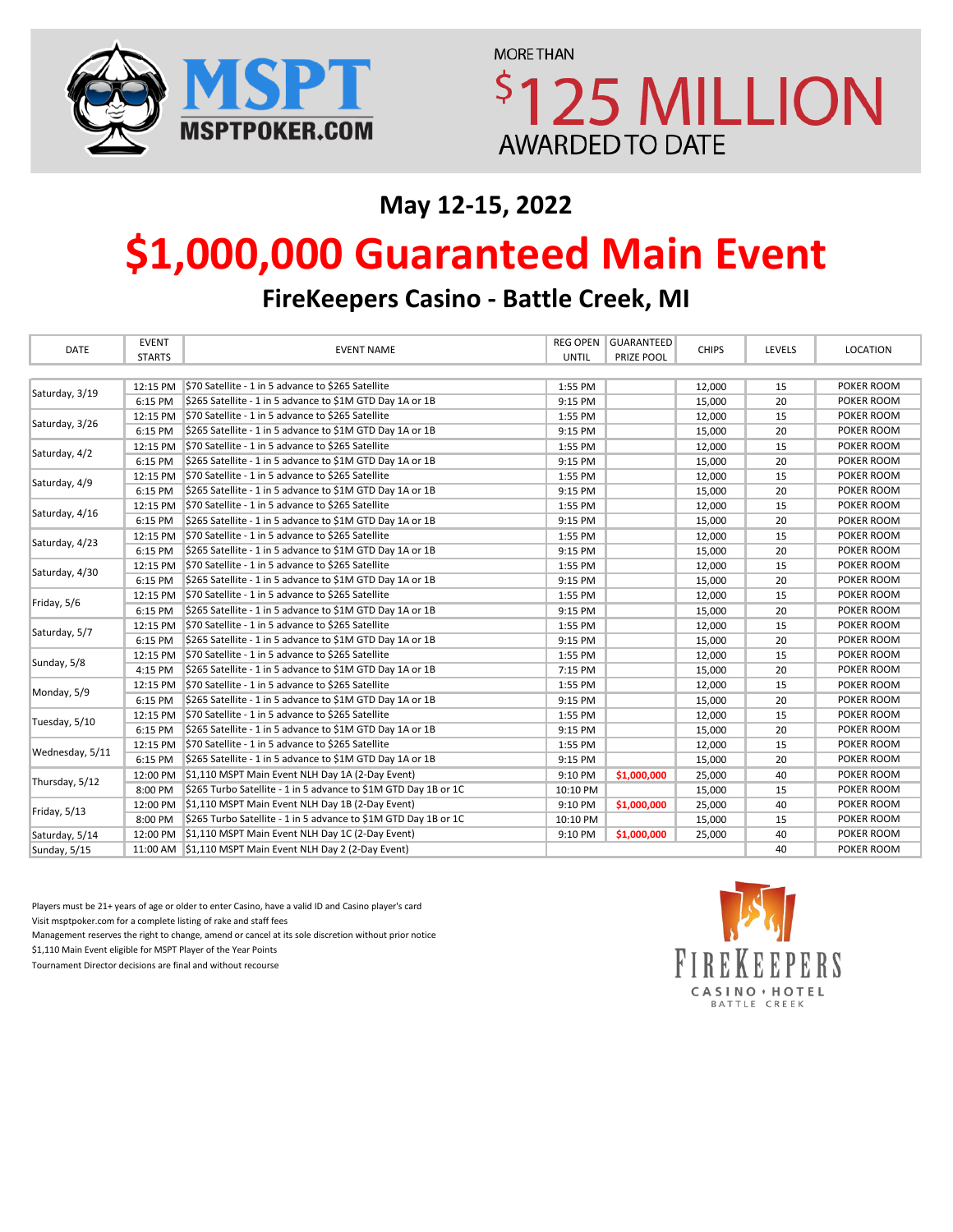

**MORE THAN 125 MILLION AWARDED TO DATE** 

## **May 12-15, 2022**

# **\$1,000,000 Guaranteed Main Event**

**FireKeepers Casino - Battle Creek, MI**

| <b>DATE</b>     | <b>EVENT</b>  | <b>EVENT NAME</b>                                               | <b>REG OPEN</b> | <b>GUARANTEED</b> |              |        |            |
|-----------------|---------------|-----------------------------------------------------------------|-----------------|-------------------|--------------|--------|------------|
|                 | <b>STARTS</b> |                                                                 | <b>UNTIL</b>    | PRIZE POOL        | <b>CHIPS</b> | LEVELS | LOCATION   |
|                 |               |                                                                 |                 |                   |              |        |            |
| Saturday, 3/19  |               | 12:15 PM \$70 Satellite - 1 in 5 advance to \$265 Satellite     | 1:55 PM         |                   | 12,000       | 15     | POKER ROOM |
|                 | 6:15 PM       | \$265 Satellite - 1 in 5 advance to \$1M GTD Day 1A or 1B       | 9:15 PM         |                   | 15,000       | 20     | POKER ROOM |
| Saturday, 3/26  |               | 12:15 PM \$70 Satellite - 1 in 5 advance to \$265 Satellite     | 1:55 PM         |                   | 12,000       | 15     | POKER ROOM |
|                 | 6:15 PM       | \$265 Satellite - 1 in 5 advance to \$1M GTD Day 1A or 1B       | 9:15 PM         |                   | 15,000       | 20     | POKER ROOM |
| Saturday, 4/2   |               | 12:15 PM S70 Satellite - 1 in 5 advance to \$265 Satellite      | 1:55 PM         |                   | 12,000       | 15     | POKER ROOM |
|                 | 6:15 PM       | \$265 Satellite - 1 in 5 advance to \$1M GTD Day 1A or 1B       | 9:15 PM         |                   | 15,000       | 20     | POKER ROOM |
| Saturday, 4/9   | 12:15 PM      | \$70 Satellite - 1 in 5 advance to \$265 Satellite              | 1:55 PM         |                   | 12,000       | 15     | POKER ROOM |
|                 | 6:15 PM       | \$265 Satellite - 1 in 5 advance to \$1M GTD Day 1A or 1B       | 9:15 PM         |                   | 15,000       | 20     | POKER ROOM |
| Saturday, 4/16  | 12:15 PM      | \$70 Satellite - 1 in 5 advance to \$265 Satellite              | 1:55 PM         |                   | 12,000       | 15     | POKER ROOM |
|                 | 6:15 PM       | \$265 Satellite - 1 in 5 advance to \$1M GTD Day 1A or 1B       | 9:15 PM         |                   | 15,000       | 20     | POKER ROOM |
|                 | 12:15 PM      | \$70 Satellite - 1 in 5 advance to \$265 Satellite              | 1:55 PM         |                   | 12,000       | 15     | POKER ROOM |
| Saturday, 4/23  | 6:15 PM       | \$265 Satellite - 1 in 5 advance to \$1M GTD Day 1A or 1B       | 9:15 PM         |                   | 15,000       | 20     | POKER ROOM |
| Saturday, 4/30  | 12:15 PM      | \$70 Satellite - 1 in 5 advance to \$265 Satellite              | 1:55 PM         |                   | 12,000       | 15     | POKER ROOM |
|                 | 6:15 PM       | \$265 Satellite - 1 in 5 advance to \$1M GTD Day 1A or 1B       | 9:15 PM         |                   | 15,000       | 20     | POKER ROOM |
| Friday, 5/6     | 12:15 PM      | \$70 Satellite - 1 in 5 advance to \$265 Satellite              | 1:55 PM         |                   | 12,000       | 15     | POKER ROOM |
|                 | 6:15 PM       | \$265 Satellite - 1 in 5 advance to \$1M GTD Day 1A or 1B       | 9:15 PM         |                   | 15,000       | 20     | POKER ROOM |
|                 |               | 12:15 PM \$70 Satellite - 1 in 5 advance to \$265 Satellite     | 1:55 PM         |                   | 12,000       | 15     | POKER ROOM |
| Saturday, 5/7   | 6:15 PM       | \$265 Satellite - 1 in 5 advance to \$1M GTD Day 1A or 1B       | 9:15 PM         |                   | 15,000       | 20     | POKER ROOM |
| Sunday, 5/8     | 12:15 PM      | \$70 Satellite - 1 in 5 advance to \$265 Satellite              | 1:55 PM         |                   | 12,000       | 15     | POKER ROOM |
|                 | 4:15 PM       | \$265 Satellite - 1 in 5 advance to \$1M GTD Day 1A or 1B       | 7:15 PM         |                   | 15,000       | 20     | POKER ROOM |
| Monday, 5/9     |               | 12:15 PM \$70 Satellite - 1 in 5 advance to \$265 Satellite     | 1:55 PM         |                   | 12,000       | 15     | POKER ROOM |
|                 | 6:15 PM       | \$265 Satellite - 1 in 5 advance to \$1M GTD Day 1A or 1B       | 9:15 PM         |                   | 15,000       | 20     | POKER ROOM |
| Tuesday, 5/10   | 12:15 PM      | \$70 Satellite - 1 in 5 advance to \$265 Satellite              | 1:55 PM         |                   | 12,000       | 15     | POKER ROOM |
|                 | 6:15 PM       | \$265 Satellite - 1 in 5 advance to \$1M GTD Day 1A or 1B       | 9:15 PM         |                   | 15,000       | 20     | POKER ROOM |
| Wednesday, 5/11 |               | 12:15 PM \$70 Satellite - 1 in 5 advance to \$265 Satellite     | 1:55 PM         |                   | 12,000       | 15     | POKER ROOM |
|                 | 6:15 PM       | \$265 Satellite - 1 in 5 advance to \$1M GTD Day 1A or 1B       | 9:15 PM         |                   | 15,000       | 20     | POKER ROOM |
| Thursday, 5/12  |               | 12:00 PM \$1,110 MSPT Main Event NLH Day 1A (2-Day Event)       | 9:10 PM         | \$1,000,000       | 25,000       | 40     | POKER ROOM |
|                 | 8:00 PM       | \$265 Turbo Satellite - 1 in 5 advance to \$1M GTD Day 1B or 1C | 10:10 PM        |                   | 15,000       | 15     | POKER ROOM |
| Friday, 5/13    |               | 12:00 PM \$1,110 MSPT Main Event NLH Day 1B (2-Day Event)       | 9:10 PM         | \$1,000,000       | 25,000       | 40     | POKER ROOM |
|                 | 8:00 PM       | \$265 Turbo Satellite - 1 in 5 advance to \$1M GTD Day 1B or 1C | 10:10 PM        |                   | 15,000       | 15     | POKER ROOM |
| Saturday, 5/14  |               | 12:00 PM \$1,110 MSPT Main Event NLH Day 1C (2-Day Event)       | 9:10 PM         | \$1,000,000       | 25,000       | 40     | POKER ROOM |
| Sunday, 5/15    |               | 11:00 AM \$1,110 MSPT Main Event NLH Day 2 (2-Day Event)        |                 |                   |              | 40     | POKER ROOM |

Players must be 21+ years of age or older to enter Casino, have a valid ID and Casino player's card Visit msptpoker.com for a complete listing of rake and staff fees

Management reserves the right to change, amend or cancel at its sole discretion without prior notice \$1,110 Main Event eligible for MSPT Player of the Year Points

Tournament Director decisions are final and without recourse

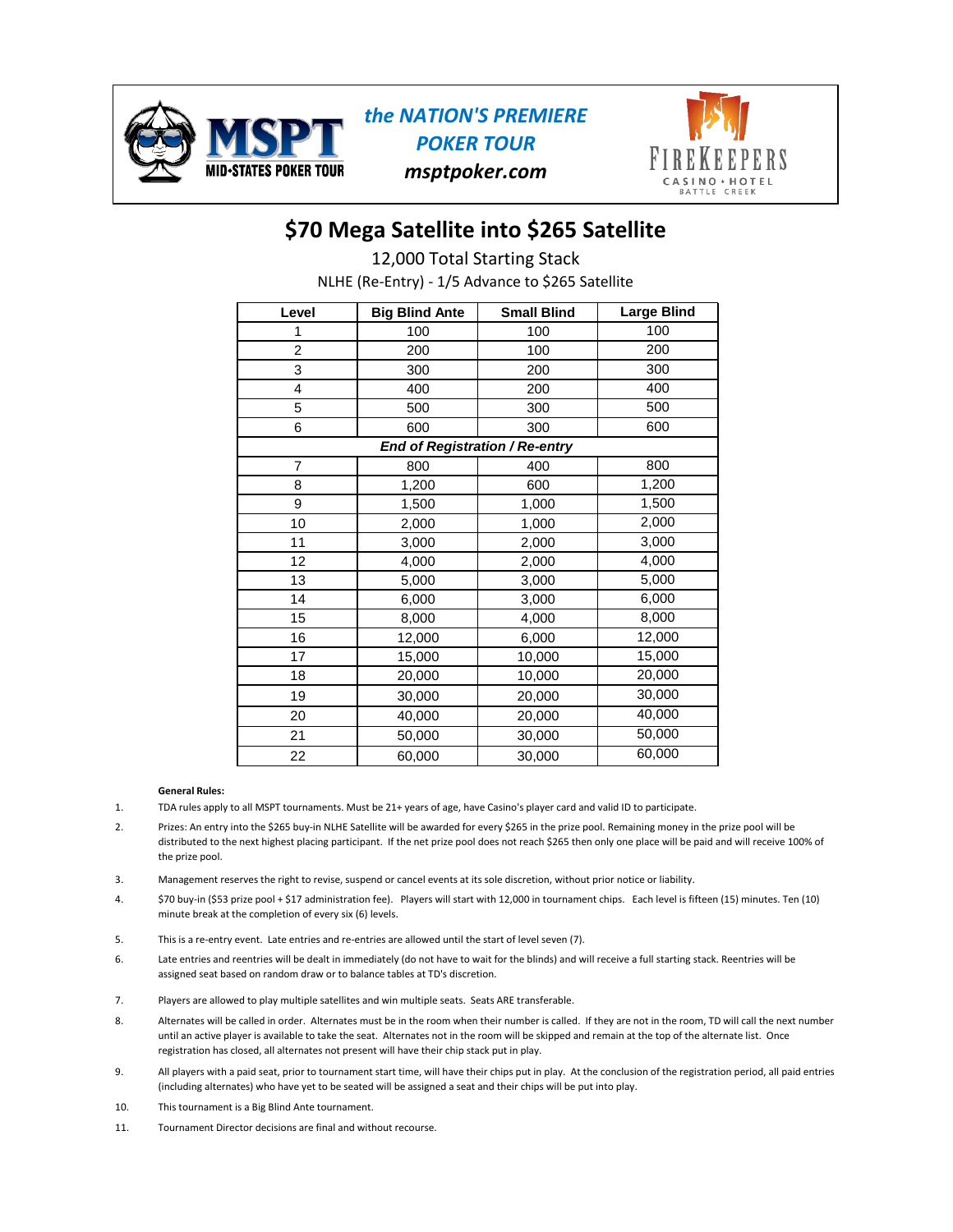

### *the NATION'S PREMIERE POKER TOUR msptpoker.com*



### **\$70 Mega Satellite into \$265 Satellite**

NLHE (Re-Entry) - 1/5 Advance to \$265 Satellite 12,000 Total Starting Stack

| Level                                 | <b>Big Blind Ante</b> | <b>Small Blind</b> | <b>Large Blind</b> |  |  |
|---------------------------------------|-----------------------|--------------------|--------------------|--|--|
| 1                                     | 100                   | 100                | 100                |  |  |
| 2                                     | 200                   | 100                | 200                |  |  |
| 3                                     | 300                   | 200                | 300                |  |  |
| 4                                     | 400                   | 200                | 400                |  |  |
| 5                                     | 500                   | 300                | 500                |  |  |
| 6                                     | 600                   | 300                | 600                |  |  |
| <b>End of Registration / Re-entry</b> |                       |                    |                    |  |  |
| 7                                     | 800                   | 400                | 800                |  |  |
| 8                                     | 1,200                 | 600                | 1,200              |  |  |
| 9                                     | 1,500                 | 1,000              | 1,500              |  |  |
| 10                                    | 2,000                 | 1,000              | 2,000              |  |  |
| 11                                    | 3,000                 | 2,000              | 3,000              |  |  |
| 12                                    | 4,000                 | 2,000              | 4,000              |  |  |
| 13                                    | 5,000                 | 3,000              | 5,000              |  |  |
| 14                                    | 6,000                 | 3,000              | 6,000              |  |  |
| 15                                    | 8,000                 | 4,000              | 8,000              |  |  |
| 16                                    | 12,000                | 6,000              | 12,000             |  |  |
| 17                                    | 15,000                | 10,000             | 15,000             |  |  |
| 18                                    | 20,000                | 10,000             | 20,000             |  |  |
| 19                                    | 30,000                | 20,000             | 30,000             |  |  |
| 20                                    | 40,000                | 20,000             | 40,000             |  |  |
| 21                                    | 50,000                | 30,000             | 50,000             |  |  |
| 22                                    | 60,000                | 30,000             | 60,000             |  |  |

#### **General Rules:**

- 1. TDA rules apply to all MSPT tournaments. Must be 21+ years of age, have Casino's player card and valid ID to participate.
- 2. Prizes: An entry into the \$265 buy-in NLHE Satellite will be awarded for every \$265 in the prize pool. Remaining money in the prize pool will be distributed to the next highest placing participant. If the net prize pool does not reach \$265 then only one place will be paid and will receive 100% of the prize pool.
- 3. Management reserves the right to revise, suspend or cancel events at its sole discretion, without prior notice or liability.
- \$70 buy-in (\$53 prize pool + \$17 administration fee). Players will start with 12,000 in tournament chips. Each level is fifteen (15) minutes. Ten (10) minute break at the completion of every six (6) levels. 4.
- 5. This is a re-entry event. Late entries and re-entries are allowed until the start of level seven (7).
- 6. Late entries and reentries will be dealt in immediately (do not have to wait for the blinds) and will receive a full starting stack. Reentries will be assigned seat based on random draw or to balance tables at TD's discretion.
- 7. Players are allowed to play multiple satellites and win multiple seats. Seats ARE transferable.
- 8. Alternates will be called in order. Alternates must be in the room when their number is called. If they are not in the room, TD will call the next number until an active player is available to take the seat. Alternates not in the room will be skipped and remain at the top of the alternate list. Once registration has closed, all alternates not present will have their chip stack put in play.
- 9. All players with a paid seat, prior to tournament start time, will have their chips put in play. At the conclusion of the registration period, all paid entries (including alternates) who have yet to be seated will be assigned a seat and their chips will be put into play.
- 10. This tournament is a Big Blind Ante tournament.
- 11. Tournament Director decisions are final and without recourse.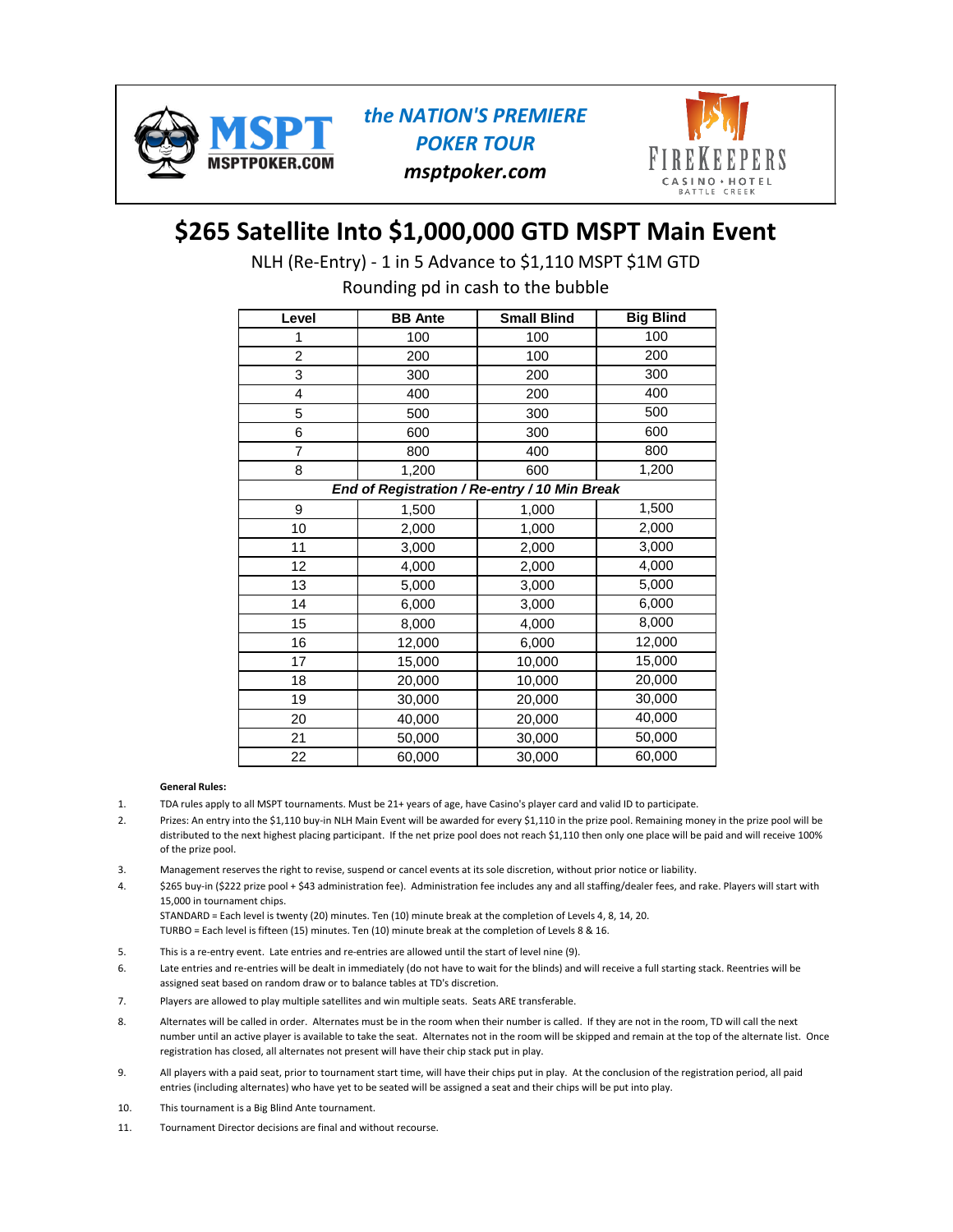

*the NATION'S PREMIERE POKER TOUR msptpoker.com*



# **\$265 Satellite Into \$1,000,000 GTD MSPT Main Event**

NLH (Re-Entry) - 1 in 5 Advance to \$1,110 MSPT \$1M GTD

Rounding pd in cash to the bubble

| Level                                         | <b>BB</b> Ante | <b>Small Blind</b> | <b>Big Blind</b> |  |  |
|-----------------------------------------------|----------------|--------------------|------------------|--|--|
|                                               | 100            | 100                | 100              |  |  |
| $\overline{2}$                                | 200            | 100                | 200              |  |  |
| 3                                             | 300            | 200                | 300              |  |  |
| 4                                             | 400            | 200                | 400              |  |  |
| 5                                             | 500            | 300                | 500              |  |  |
| 6                                             | 600            | 300                | 600              |  |  |
| 7                                             | 800            | 400                | 800              |  |  |
| 8                                             | 1,200          | 600                | 1,200            |  |  |
| End of Registration / Re-entry / 10 Min Break |                |                    |                  |  |  |
| 9                                             | 1,500          | 1,000              | 1,500            |  |  |
| 10                                            | 2,000          | 1,000              | 2,000            |  |  |
| 11                                            | 3,000          | 2,000              | 3,000            |  |  |
| 12                                            | 4,000          | 2,000              | 4,000            |  |  |
| 13                                            | 5,000          | 3,000              | 5,000            |  |  |
| 14                                            | 6,000          | 3,000              | 6,000            |  |  |
| 15                                            | 8,000          | 4,000              | 8,000            |  |  |
| 16                                            | 12,000         | 6,000              | 12,000           |  |  |
| 17                                            | 15,000         | 10,000             | 15,000           |  |  |
| 18                                            | 20,000         | 10,000             | 20,000           |  |  |
| 19                                            | 30,000         | 20,000             | 30,000           |  |  |
| 20                                            | 40,000         | 20,000             | 40,000           |  |  |
| 21                                            | 50,000         | 30,000             | 50,000           |  |  |
| 22                                            | 60,000         | 30,000             | 60,000           |  |  |

#### **General Rules:**

- 1. TDA rules apply to all MSPT tournaments. Must be 21+ years of age, have Casino's player card and valid ID to participate.
- 2. Prizes: An entry into the \$1,110 buy-in NLH Main Event will be awarded for every \$1,110 in the prize pool. Remaining money in the prize pool will be distributed to the next highest placing participant. If the net prize pool does not reach \$1,110 then only one place will be paid and will receive 100% of the prize pool.
- 3. Management reserves the right to revise, suspend or cancel events at its sole discretion, without prior notice or liability.
- 4. \$265 buy-in (\$222 prize pool + \$43 administration fee). Administration fee includes any and all staffing/dealer fees, and rake. Players will start with 15,000 in tournament chips.
- STANDARD = Each level is twenty (20) minutes. Ten (10) minute break at the completion of Levels 4, 8, 14, 20. TURBO = Each level is fifteen (15) minutes. Ten (10) minute break at the completion of Levels 8 & 16.
- 5. This is a re-entry event. Late entries and re-entries are allowed until the start of level nine (9).
- 6. Late entries and re-entries will be dealt in immediately (do not have to wait for the blinds) and will receive a full starting stack. Reentries will be assigned seat based on random draw or to balance tables at TD's discretion.
- 7. Players are allowed to play multiple satellites and win multiple seats. Seats ARE transferable.
- 8. Alternates will be called in order. Alternates must be in the room when their number is called. If they are not in the room, TD will call the next number until an active player is available to take the seat. Alternates not in the room will be skipped and remain at the top of the alternate list. Once registration has closed, all alternates not present will have their chip stack put in play.
- 9. All players with a paid seat, prior to tournament start time, will have their chips put in play. At the conclusion of the registration period, all paid entries (including alternates) who have yet to be seated will be assigned a seat and their chips will be put into play.
- 10. This tournament is a Big Blind Ante tournament.
- 11. Tournament Director decisions are final and without recourse.